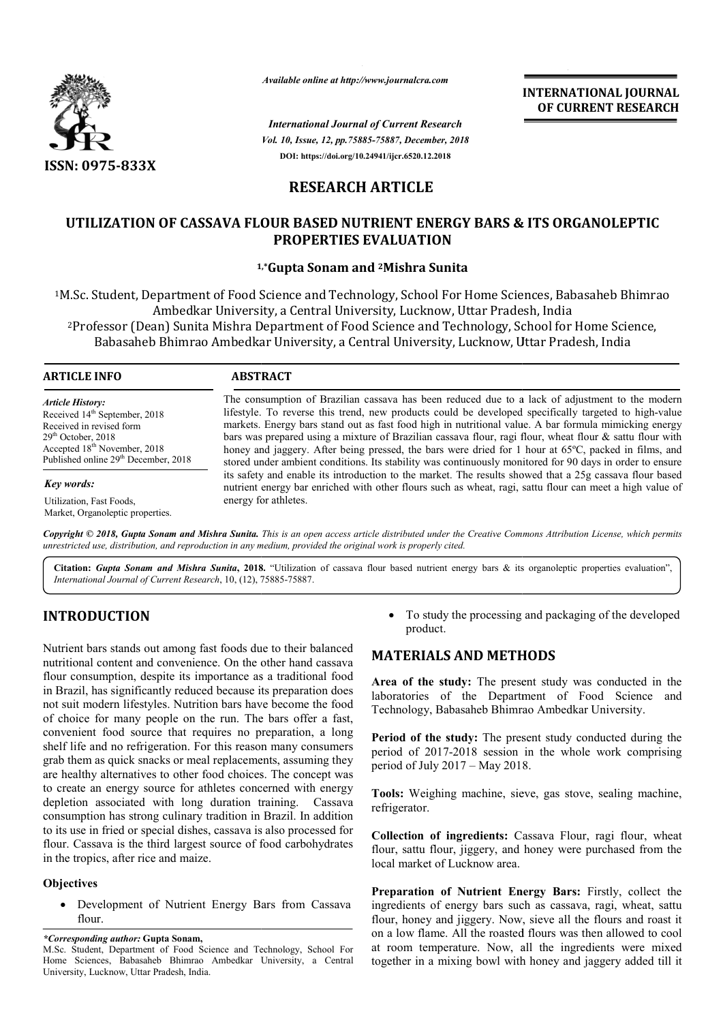

*Available online at http://www.journalcra.com*

*International Journal of Current Research Vol. 10, Issue, 12, pp.75885-75887, December, 2018* **DOI: https://doi.org/10.24941/ijcr.6520.12.2018**

**INTERNATIONAL JOURNAL OF CURRENT RESEARCH**

# **RESEARCH ARTICLE**

## **UTILIZATION OF CASSAVA FLOUR BASED NUTRIENT ENERGY BARS & ITS ORGANOLEPTIC ENERGY BARS ORGANOLEPTIC PROPERTIES EVALUATION**

## **1 1,\*Gupta Sonam and 2Mishra Sunita**

1M.Sc. Student, Department of Food Science and Technology, School For Home Sciences, Babasaheb Bhimrao M.Sc. Ambedkar University, a Central University, Lucknow, Uttar Pradesh, India I.Sc. Student, Department of Food Science and Technology, School For Home Sciences, Babasaheb Bhimra<br>Ambedkar University, a Central University, Lucknow, Uttar Pradesh, India<br>Professor (Dean) Sunita Mishra Department of Foo Babasaheb Bhimrao Ambedkar University, a Central University, Lucknow, Uttar Pradesh, India University, a Pradesh, India

#### **ARTICLE INFO ABSTRACT**

*Article History:* Received 14<sup>th</sup> September, 2018 Received in revised form 29<sup>th</sup> October, 2018 Accepted 18<sup>th</sup> November, 2018 Published online 29<sup>th</sup> December, 2018

*Key words:*

Utilization, Fast Foods, Market, Organoleptic properties. The consumption of Brazilian cassava has been reduced due to a lack of adjustment to the modern The consumption of Brazilian cassava has been reduced due to a lack of adjustment to the modern<br>lifestyle. To reverse this trend, new products could be developed specifically targeted to high-value markets. Energy bars stand out as fast food high in nutritional value. A bar formula mimicking energy markets. Energy bars stand out as fast food high in nutritional value. A bar formula mimicking energy<br>bars was prepared using a mixture of Brazilian cassava flour, ragi flour, wheat flour & sattu flour with honey and jaggery. After being pressed, the bars were dried for 1 hour at 65°C, packed in films, and stored under ambient conditions. Its stability was continuously monitored for 90 days in order to ensure its safety and enable its introduction to the market. The results showed that a 25g cassava flour based honey and jaggery. After being pressed, the bars were dried for 1 hour at 65°C, packed in films, and stored under ambient conditions. Its stability was continuously monitored for 90 days in order to ensure its safety and e energy for athletes. INTERNATIONAL JOURNAL<br>
of CURRENT RESEARCH<br>
cont<br>
cont<br>
cont<br>
cont<br>
cont<br>
cont<br>
cont<br>
cont<br>
cont<br>
cont<br>
cont<br>
cont<br>
cont<br>
cont<br>
cont<br>
cont<br>
cont<br>
cont<br>
cont<br>
cont<br>
cont<br>
cont<br>
cont<br>
cont<br>
cont<br>
cont<br>
contains and the secti

Copyright © 2018, Gupta Sonam and Mishra Sunita. This is an open access article distributed under the Creative Commons Attribution License, which permits *unrestricted use, distribution, and reproduction in any medium, provided the original work is properly cited.*

Citation: Gupta Sonam and Mishra Sunita, 2018. "Utilization of cassava flour based nutrient energy bars & its organoleptic properties evaluation", *International Journal of Current Research*, 10, (12), 75885 75885-75887.

# **INTRODUCTION**

Nutrient bars stands out among fast foods due to their balanced nutritional content and convenience. On the other hand cassava flour consumption, despite its importance as a traditional food in Brazil, has significantly reduced because its preparation does not suit modern lifestyles. Nutrition bars have become the food of choice for many people on the run. The bars offer a fast, convenient food source that requires no preparation, a long shelf life and no refrigeration. For this reason many consumers grab them as quick snacks or meal replacements, assuming they are healthy alternatives to other food choices. The concept was to create an energy source for athletes concerned with energy depletion associated with long duration training. consumption has strong culinary tradition in Brazil. In addition to its use in fried or special dishes, cassava is also processed for flour. Cassava is the third largest source of food carbohydrates in the tropics, after rice and maize. hem as quick snacks or meal replacements, assuming they<br>calthy alternatives to other food choices. The concept was<br>ate an energy source for athletes concerned with energy<br>tion associated with long duration training. Cassav For study the processing and packaging of the developed<br>
ience. On the other hand casava<br>
importance as a traditional food<br>
ience. On the other hand casava<br>
importance as a traditional food<br>
laboratories of the **Sure Stree** 

## **Objectives**

 Development of Nutrient Energy Bars from Cassava flour.

*\*Corresponding author:* **Gupta Sonam,**

product.

## **MATERIALS AND METHODS METHODS**

**Area of the study:** The present study was conducted in the laboratories of the Department of Food Science and Technology, Babasaheb Bhimrao Ambedkar University.

**Period of the study:** The present study conducted during the period of 2017-2018 session in the whole work comprising period of July 2017 – May 2018. Babasaheb Bhimrao Ambedkar University.<br> **e study:** The present study conducted during the<br>
117-2018 session in the whole work comprising<br>
y 2017 – May 2018.<br>
hing machine, sieve, gas stove, sealing machine,

**Tools:** Weighing machine, sieve, gas stove, sealing machine, refrigerator.

Collection of ingredients: Cassava Flour, ragi flour, wheat flour, sattu flour, jiggery, and honey were purchased from the local market of Lucknow area.

Preparation of Nutrient Energy Bars: Firstly, collect the ingredients of energy bars such as cassava, ragi, wheat, sattu flour, honey and jiggery. Now, sieve all the flours and roast it on a low flame. All the roasted flours was then allowed to cool at room temperature. Now, all the ingredients were mixed together in a mixing bowl with honey and jaggery added till it

M.Sc. Student, Department of Food Science and Technology, School For Home Sciences, Babasaheb Bhimrao Ambedkar University, a Central University, Lucknow, Uttar Pradesh, India.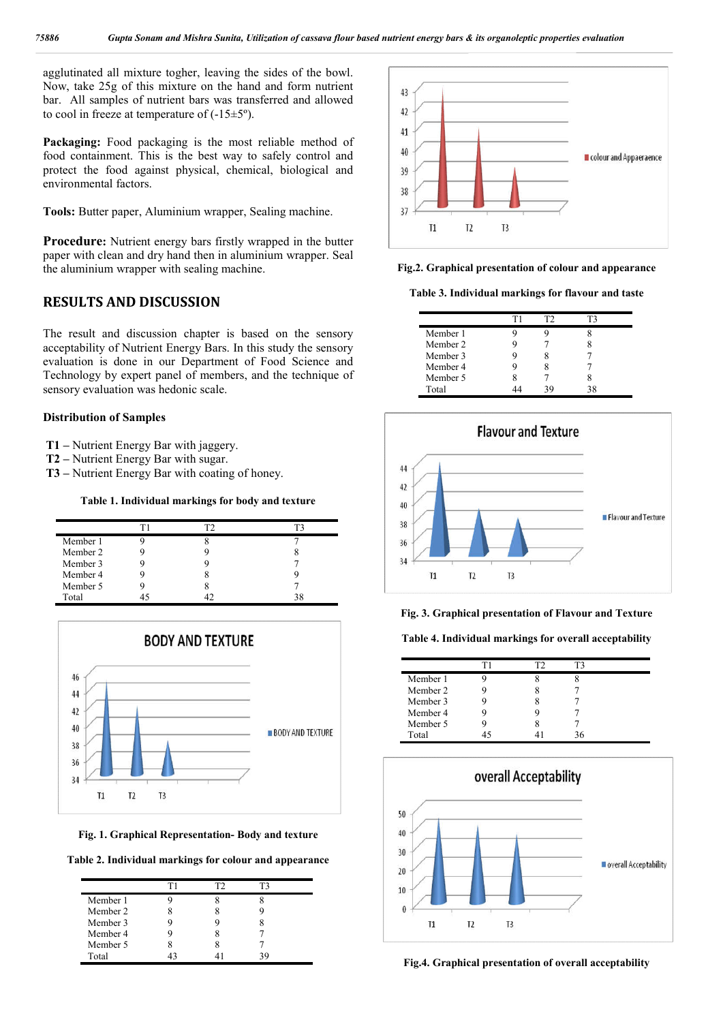agglutinated all mixture togher, leaving the sides of the bowl. Now, take 25g of this mixture on the hand and form nutrient bar. All samples of nutrient bars was transferred and allowed to cool in freeze at temperature of  $(-15\pm5)$ °.

Packaging: Food packaging is the most reliable method of food containment. This is the best way to safely control and protect the food against physical, chemical, biological and environmental factors.

**Tools:** Butter paper, Aluminium wrapper, Sealing machine.

**Procedure:** Nutrient energy bars firstly wrapped in the butter paper with clean and dry hand then in aluminium wrapper. Seal the aluminium wrapper with sealing machine.

## **RESULTS AND DISCUSSION**

The result and discussion chapter is based on the sensory acceptability of Nutrient Energy Bars. In this study the sensory evaluation is done in our Department of Food Science and Technology by expert panel of members, and the technique of sensory evaluation was hedonic scale.

#### **Distribution of Samples**

- **T1 –** Nutrient Energy Bar with jaggery.
- **T2 –** Nutrient Energy Bar with sugar.
- **T3 –** Nutrient Energy Bar with coating of honey.

#### **Table 1. Individual markings for body and texture**

| Member 1 |  |  |
|----------|--|--|
| Member 2 |  |  |
| Member 3 |  |  |
| Member 4 |  |  |
| Member 5 |  |  |
| Total    |  |  |



**Fig. 1. Graphical Representation- Body and texture**

**Table 2. Individual markings for colour and appearance**

|          | гı | l 7 |  |
|----------|----|-----|--|
| Member 1 |    |     |  |
| Member 2 |    |     |  |
| Member 3 |    |     |  |
| Member 4 |    |     |  |
| Member 5 |    |     |  |
| Total    |    |     |  |



**Fig.2. Graphical presentation of colour and appearance**

**Table 3. Individual markings for flavour and taste**

|          | тэ |  |
|----------|----|--|
| Member 1 |    |  |
| Member 2 |    |  |
| Member 3 |    |  |
| Member 4 |    |  |
| Member 5 |    |  |
| Total    |    |  |



**Fig. 3. Graphical presentation of Flavour and Texture**

**Table 4. Individual markings for overall acceptability**

|          | г |  |  |
|----------|---|--|--|
| Member 1 |   |  |  |
| Member 2 |   |  |  |
| Member 3 |   |  |  |
| Member 4 |   |  |  |
| Member 5 |   |  |  |
| Total    |   |  |  |



**Fig.4. Graphical presentation of overall acceptability**